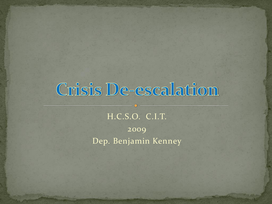## Crisis De-escalation

H.C.S.O. C.I.T. 2009 Dep. Benjamin Kenney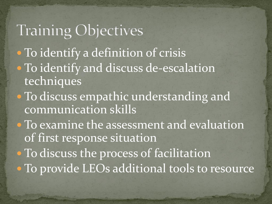### **Training Objectives**

- To identify a definition of crisis To identify and discuss de-escalation
	- techniques
- To discuss empathic understanding and communication skills
- To examine the assessment and evaluation of first response situation
- To discuss the process of facilitation
- · To provide LEOs additional tools to resource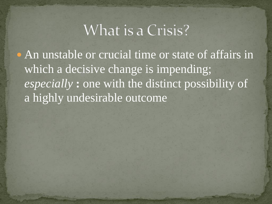### What is a Crisis?

• An unstable or crucial time or state of affairs in which a decisive change is impending; *especially* **:** one with the distinct possibility of a highly undesirable outcome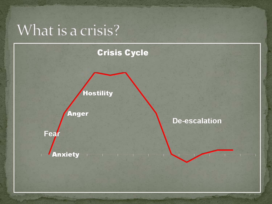### What is a crisis?

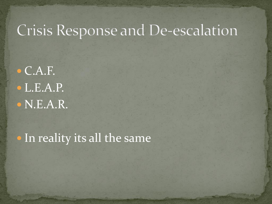### Crisis Response and De-escalation

 $\bullet$  C.A.F. L.E.A.P. N.E.A.R.

• In reality its all the same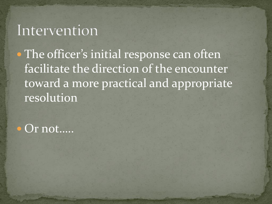#### Intervention

• The officer's initial response can often facilitate the direction of the encounter toward a more practical and appropriate resolution

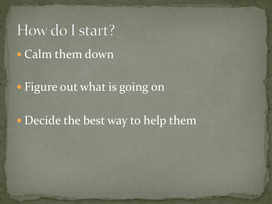# How do I start? Calm them down

• Figure out what is going on

• Decide the best way to help them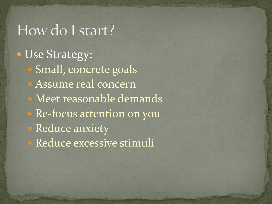### How do I start?

**· Use Strategy:**  Small, concrete goals Assume real concern Meet reasonable demands Re-focus attention on you Reduce anxiety Reduce excessive stimuli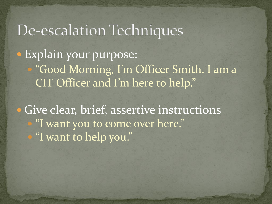### De-escalation Techniques

 Explain your purpose: "Good Morning, I'm Officer Smith. I am a CIT Officer and I'm here to help."

**· Give clear, brief, assertive instructions** "I want you to come over here." "I want to help you."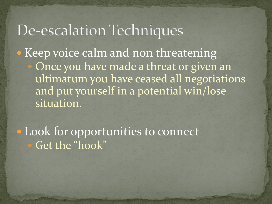### De-escalation Techniques

• Keep voice calm and non threatening Once you have made a threat or given an ultimatum you have ceased all negotiations and put yourself in a potential win/lose situation.

 Look for opportunities to connect Get the "hook"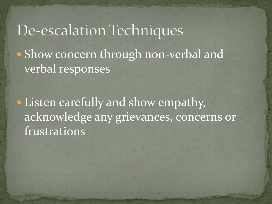### De-escalation Techniques • Show concern through non-verbal and verbal responses

 Listen carefully and show empathy, acknowledge any grievances, concerns or frustrations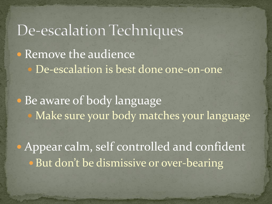De-escalation Techniques • Remove the audience De-escalation is best done one-on-one • Be aware of body language Make sure your body matches your language

 Appear calm, self controlled and confident • But don't be dismissive or over-bearing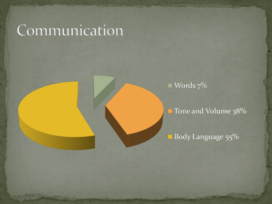### Communication

Words 7%

Tone and Volume 38%

Body Language 55%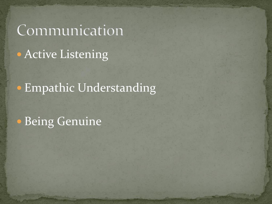# Communication **• Active Listening**

**• Empathic Understanding** 

Being Genuine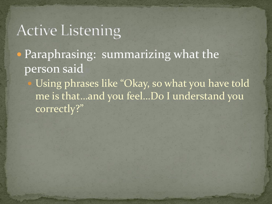Paraphrasing: summarizing what the person said

 Using phrases like "Okay, so what you have told me is that…and you feel…Do I understand you correctly?"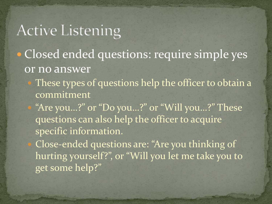- Closed ended questions: require simple yes or no answer
	- These types of questions help the officer to obtain a commitment

 "Are you…?" or "Do you…?" or "Will you…?" These questions can also help the officer to acquire specific information.

 Close-ended questions are: "Are you thinking of hurting yourself?", or "Will you let me take you to get some help?"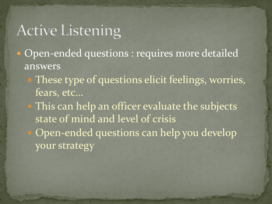- Open-ended questions : requires more detailed answers
	- These type of questions elicit feelings, worries, fears, etc…
		- This can help an officer evaluate the subjects state of mind and level of crisis Open-ended questions can help you develop your strategy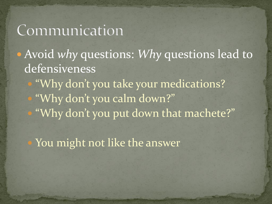### Communication

 Avoid *why* questions: *Why* questions lead to defensiveness

 "Why don't you take your medications? "Why don't you calm down?" "Why don't you put down that machete?"

You might not like the answer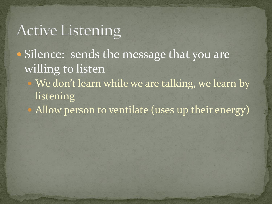- Silence: sends the message that you are willing to listen
	- We don't learn while we are talking, we learn by **listening**
	- Allow person to ventilate (uses up their energy**)**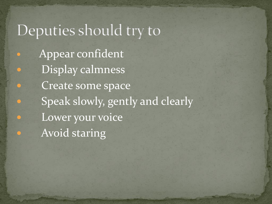### Deputies should try to

 Appear confident Display calmness Create some space Speak slowly, gently and clearly Lower your voice Avoid staring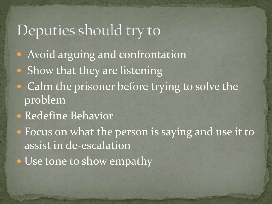### Deputies should try to

- Avoid arguing and confrontation
- Show that they are listening
- Calm the prisoner before trying to solve the problem
- Redefine Behavior
- Focus on what the person is saying and use it to assist in de-escalation
- Use tone to show empathy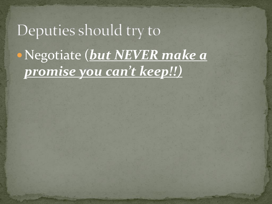# Deputies should try to Negotiate (*but NEVER make a promise you can't keep!!)*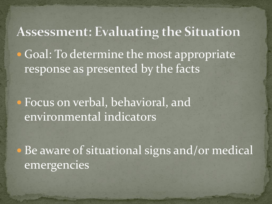**Assessment: Evaluating the Situation • Goal: To determine the most appropriate** response as presented by the facts

 Focus on verbal, behavioral, and environmental indicators

 Be aware of situational signs and/or medical emergencies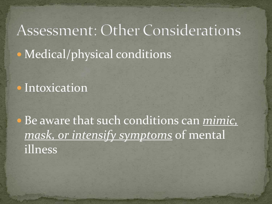# Assessment: Other Considerations • Medical/physical conditions

#### • Intoxication

 Be aware that such conditions can *mimic, mask, or intensify symptoms* of mental illness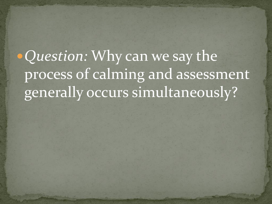*Question:* Why can we say the process of calming and assessment generally occurs simultaneously?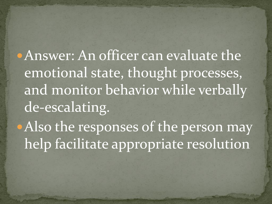Answer: An officer can evaluate the emotional state, thought processes, and monitor behavior while verbally de-escalating. • Also the responses of the person may help facilitate appropriate resolution